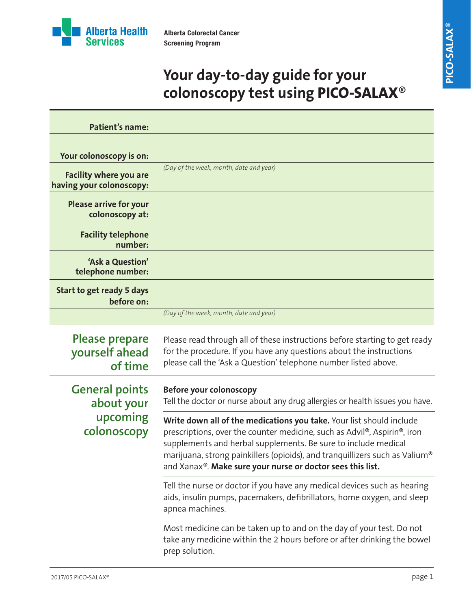

# **Your day-to-day guide for your colonoscopy test using PICO-SALAX**®

| <b>Patient's name:</b>                                   |                                                                                                                                                                                                                                                                                                                                                                 |
|----------------------------------------------------------|-----------------------------------------------------------------------------------------------------------------------------------------------------------------------------------------------------------------------------------------------------------------------------------------------------------------------------------------------------------------|
| Your colonoscopy is on:<br><b>Facility where you are</b> | (Day of the week, month, date and year)                                                                                                                                                                                                                                                                                                                         |
| having your colonoscopy:                                 |                                                                                                                                                                                                                                                                                                                                                                 |
| <b>Please arrive for your</b><br>colonoscopy at:         |                                                                                                                                                                                                                                                                                                                                                                 |
| <b>Facility telephone</b><br>number:                     |                                                                                                                                                                                                                                                                                                                                                                 |
| 'Ask a Question'<br>telephone number:                    |                                                                                                                                                                                                                                                                                                                                                                 |
| Start to get ready 5 days<br>before on:                  |                                                                                                                                                                                                                                                                                                                                                                 |
|                                                          | (Day of the week, month, date and year)                                                                                                                                                                                                                                                                                                                         |
| <b>Please prepare</b><br>yourself ahead<br>of time       | Please read through all of these instructions before starting to get ready<br>for the procedure. If you have any questions about the instructions<br>please call the 'Ask a Question' telephone number listed above.                                                                                                                                            |
| <b>General points</b><br>about your                      | <b>Before your colonoscopy</b><br>Tell the doctor or nurse about any drug allergies or health issues you have.                                                                                                                                                                                                                                                  |
| upcoming<br>colonoscopy                                  | Write down all of the medications you take. Your list should include<br>prescriptions, over the counter medicine, such as Advil®, Aspirin®, iron<br>supplements and herbal supplements. Be sure to include medical<br>marijuana, strong painkillers (opioids), and tranquillizers such as Valium®<br>and Xanax®. Make sure your nurse or doctor sees this list. |
|                                                          | Tell the nurse or doctor if you have any medical devices such as hearing<br>aids, insulin pumps, pacemakers, defibrillators, home oxygen, and sleep<br>apnea machines.                                                                                                                                                                                          |
|                                                          | Most medicine can be taken up to and on the day of your test. Do not<br>take any medicine within the 2 hours before or after drinking the bowel<br>prep solution.                                                                                                                                                                                               |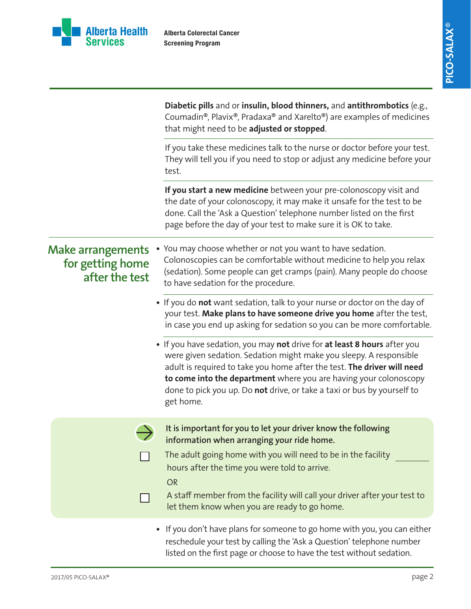

|                                                                | Diabetic pills and or insulin, blood thinners, and antithrombotics (e.g.,<br>Coumadin®, Plavix®, Pradaxa® and Xarelto®) are examples of medicines<br>that might need to be adjusted or stopped.                                                                                                                                                                                        |
|----------------------------------------------------------------|----------------------------------------------------------------------------------------------------------------------------------------------------------------------------------------------------------------------------------------------------------------------------------------------------------------------------------------------------------------------------------------|
|                                                                | If you take these medicines talk to the nurse or doctor before your test.<br>They will tell you if you need to stop or adjust any medicine before your<br>test.                                                                                                                                                                                                                        |
|                                                                | If you start a new medicine between your pre-colonoscopy visit and<br>the date of your colonoscopy, it may make it unsafe for the test to be<br>done. Call the 'Ask a Question' telephone number listed on the first<br>page before the day of your test to make sure it is OK to take.                                                                                                |
| <b>Make arrangements</b><br>for getting home<br>after the test | You may choose whether or not you want to have sedation.<br>Colonoscopies can be comfortable without medicine to help you relax<br>(sedation). Some people can get cramps (pain). Many people do choose<br>to have sedation for the procedure.                                                                                                                                         |
|                                                                | . If you do not want sedation, talk to your nurse or doctor on the day of<br>your test. Make plans to have someone drive you home after the test,<br>in case you end up asking for sedation so you can be more comfortable.                                                                                                                                                            |
|                                                                | • If you have sedation, you may not drive for at least 8 hours after you<br>were given sedation. Sedation might make you sleepy. A responsible<br>adult is required to take you home after the test. The driver will need<br>to come into the department where you are having your colonoscopy<br>done to pick you up. Do not drive, or take a taxi or bus by yourself to<br>get home. |
|                                                                | It is important for you to let your driver know the following<br>information when arranging your ride home.<br>The adult going home with you will need to be in the facility<br>hours after the time you were told to arrive.<br><b>OR</b><br>A staff member from the facility will call your driver after your test to<br>let them know when you are ready to go home.                |
|                                                                | • If you don't have plans for someone to go home with you, you can either<br>reschedule your test by calling the 'Ask a Question' telephone number<br>listed on the first page or choose to have the test without sedation.                                                                                                                                                            |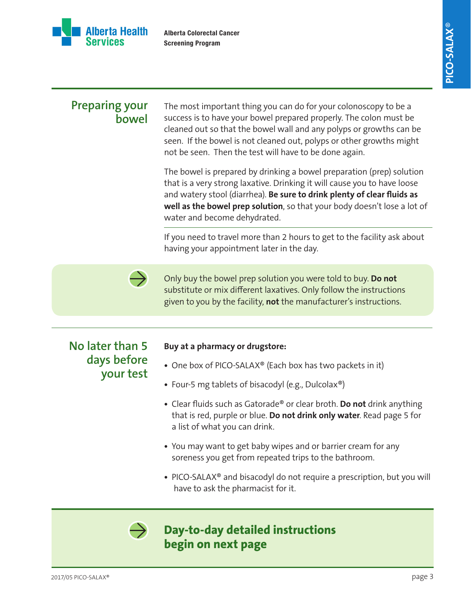

### **Preparing your bowel**

The most important thing you can do for your colonoscopy to be a success is to have your bowel prepared properly. The colon must be cleaned out so that the bowel wall and any polyps or growths can be seen. If the bowel is not cleaned out, polyps or other growths might not be seen. Then the test will have to be done again.

The bowel is prepared by drinking a bowel preparation (prep) solution that is a very strong laxative. Drinking it will cause you to have loose and watery stool (diarrhea). **Be sure to drink plenty of clear fluids as well as the bowel prep solution**, so that your body doesn't lose a lot of water and become dehydrated.

If you need to travel more than 2 hours to get to the facility ask about having your appointment later in the day.



Only buy the bowel prep solution you were told to buy. **Do not** substitute or mix different laxatives. Only follow the instructions given to you by the facility, **not** the manufacturer's instructions.

## **No later than 5 days before your test**

#### **Buy at a pharmacy or drugstore:**

- **•** One box of PICO-SALAX® (Each box has two packets in it)
- **•** Four-5 mg tablets of bisacodyl (e.g., Dulcolax®)
- **•** Clear fluids such as Gatorade® or clear broth. **Do not** drink anything that is red, purple or blue. **Do not drink only water**. Read page 5 for a list of what you can drink.
- **•** You may want to get baby wipes and or barrier cream for any soreness you get from repeated trips to the bathroom.
- **•** PICO-SALAX® and bisacodyl do not require a prescription, but you will have to ask the pharmacist for it.

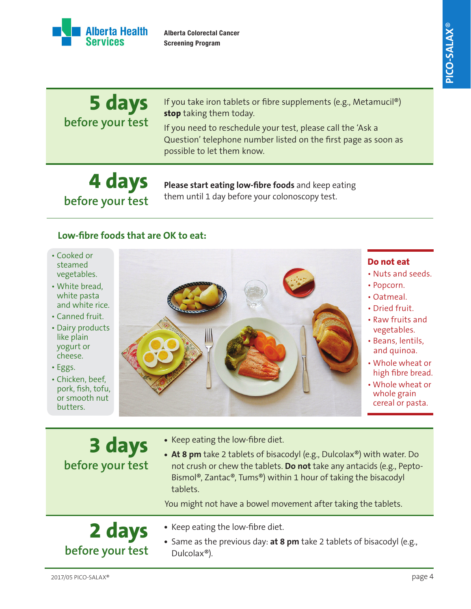

| 5 days<br>before your test | If you take iron tablets or fibre supplements (e.g., Metamucil®)<br>stop taking them today.<br>If you need to reschedule your test, please call the 'Ask a<br>Question' telephone number listed on the first page as soon as<br>possible to let them know. |
|----------------------------|------------------------------------------------------------------------------------------------------------------------------------------------------------------------------------------------------------------------------------------------------------|
|                            |                                                                                                                                                                                                                                                            |

# **4 days before your test**

**Please start eating low-fibre foods** and keep eating them until 1 day before your colonoscopy test.

#### **Low-fibre foods that are OK to eat:**

- Cooked or steamed vegetables.
- White bread, white pasta and white rice.
- Canned fruit.
- Dairy products like plain yogurt or cheese.
- Eggs.
- Chicken, beef, pork, fish, tofu, or smooth nut butters.



#### **Do not eat**

- Nuts and seeds.
- Popcorn.
- Oatmeal.
- Dried fruit.
- Raw fruits and vegetables.
- Beans, lentils, and quinoa.
- Whole wheat or high fibre bread.
- Whole wheat or whole grain cereal or pasta.

| 3 days<br>before your test | • Keep eating the low-fibre diet.<br>• At 8 pm take 2 tablets of bisacodyl (e.g., Dulcolax®) with water. Do<br>not crush or chew the tablets. Do not take any antacids (e.g., Pepto-<br>Bismol®, Zantac®, Tums®) within 1 hour of taking the bisacodyl<br>tablets.<br>You might not have a bowel movement after taking the tablets. |
|----------------------------|-------------------------------------------------------------------------------------------------------------------------------------------------------------------------------------------------------------------------------------------------------------------------------------------------------------------------------------|
| 2 days<br>before your test | • Keep eating the low-fibre diet.<br>• Same as the previous day: at 8 pm take 2 tablets of bisacodyl (e.g.,<br>Dulcolax <sup>®</sup> ).                                                                                                                                                                                             |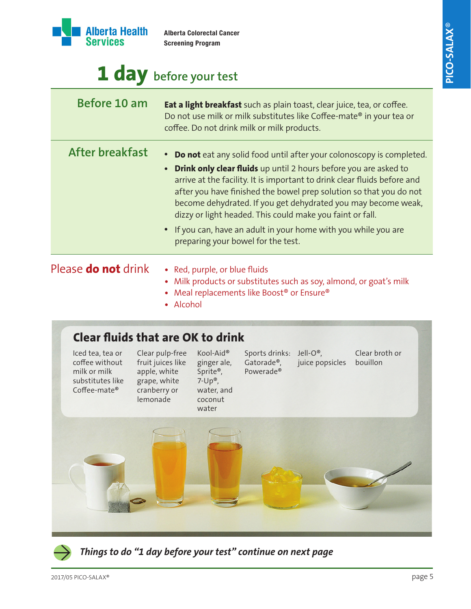

# **1 day before your test**

| Before 10 am               | Eat a light breakfast such as plain toast, clear juice, tea, or coffee.<br>Do not use milk or milk substitutes like Coffee-mate® in your tea or<br>coffee. Do not drink milk or milk products.                                                                                                                                                                                                                                                                                                                                                          |
|----------------------------|---------------------------------------------------------------------------------------------------------------------------------------------------------------------------------------------------------------------------------------------------------------------------------------------------------------------------------------------------------------------------------------------------------------------------------------------------------------------------------------------------------------------------------------------------------|
| After breakfast            | • Do not eat any solid food until after your colonoscopy is completed.<br><b>Drink only clear fluids</b> up until 2 hours before you are asked to<br>$\bullet$<br>arrive at the facility. It is important to drink clear fluids before and<br>after you have finished the bowel prep solution so that you do not<br>become dehydrated. If you get dehydrated you may become weak,<br>dizzy or light headed. This could make you faint or fall.<br>• If you can, have an adult in your home with you while you are<br>preparing your bowel for the test. |
| Please <b>do not</b> drink | • Red, purple, or blue fluids                                                                                                                                                                                                                                                                                                                                                                                                                                                                                                                           |

#### *a*, purple,

- **•** Milk products or substitutes such as soy, almond, or goat's milk
- **•** Meal replacements like Boost® or Ensure®
- Alcohol

## **Clear fluids that are OK to drink**

Iced tea, tea or coffee without milk or milk substitutes like Coffee-mate® Clear pulp-free fruit juices like apple, white grape, white cranberry or lemonade Sports drinks: Jell-O®, Gatorade®, Powerade® Clear broth or juice popsicles bouillon Kool-Aid® ginger ale, Sprite®, 7-Up®, water, and coconut water



*Things to do "1 day before your test" continue on next page*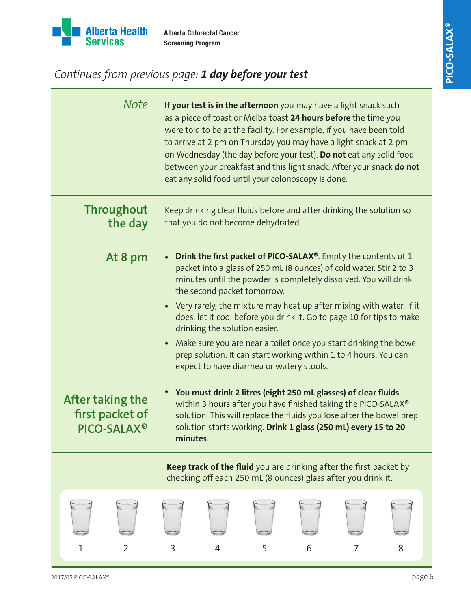

## *Continues from previous page: 1 day before your test*

| <b>Note</b>                                        | If your test is in the afternoon you may have a light snack such<br>as a piece of toast or Melba toast 24 hours before the time you<br>were told to be at the facility. For example, if you have been told<br>to arrive at 2 pm on Thursday you may have a light snack at 2 pm<br>on Wednesday (the day before your test). Do not eat any solid food<br>between your breakfast and this light snack. After your snack do not<br>eat any solid food until your colonoscopy is done. |   |                                                                                                                                     |   |   |
|----------------------------------------------------|------------------------------------------------------------------------------------------------------------------------------------------------------------------------------------------------------------------------------------------------------------------------------------------------------------------------------------------------------------------------------------------------------------------------------------------------------------------------------------|---|-------------------------------------------------------------------------------------------------------------------------------------|---|---|
| <b>Throughout</b><br>the day                       | Keep drinking clear fluids before and after drinking the solution so<br>that you do not become dehydrated.                                                                                                                                                                                                                                                                                                                                                                         |   |                                                                                                                                     |   |   |
| At 8 pm                                            | Drink the first packet of PICO-SALAX®. Empty the contents of 1<br>packet into a glass of 250 mL (8 ounces) of cold water. Stir 2 to 3<br>minutes until the powder is completely dissolved. You will drink<br>the second packet tomorrow.                                                                                                                                                                                                                                           |   |                                                                                                                                     |   |   |
|                                                    | • Very rarely, the mixture may heat up after mixing with water. If it<br>does, let it cool before you drink it. Go to page 10 for tips to make<br>drinking the solution easier.                                                                                                                                                                                                                                                                                                    |   |                                                                                                                                     |   |   |
|                                                    | • Make sure you are near a toilet once you start drinking the bowel<br>prep solution. It can start working within 1 to 4 hours. You can<br>expect to have diarrhea or watery stools.                                                                                                                                                                                                                                                                                               |   |                                                                                                                                     |   |   |
| After taking the<br>first packet of<br>PICO-SALAX® | You must drink 2 litres (eight 250 mL glasses) of clear fluids<br>$\bullet$<br>within 3 hours after you have finished taking the PICO-SALAX®<br>solution. This will replace the fluids you lose after the bowel prep<br>solution starts working. Drink 1 glass (250 mL) every 15 to 20<br>minutes.                                                                                                                                                                                 |   |                                                                                                                                     |   |   |
|                                                    |                                                                                                                                                                                                                                                                                                                                                                                                                                                                                    |   | Keep track of the fluid you are drinking after the first packet by<br>checking off each 250 mL (8 ounces) glass after you drink it. |   |   |
| $\overline{2}$<br>1                                | 3                                                                                                                                                                                                                                                                                                                                                                                                                                                                                  | 4 | 5                                                                                                                                   | 6 | 8 |
|                                                    |                                                                                                                                                                                                                                                                                                                                                                                                                                                                                    |   |                                                                                                                                     |   |   |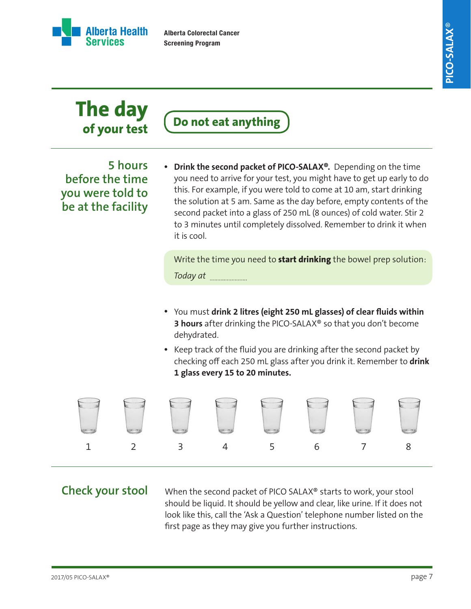

# **The day of your test**

**Do not eat anything**

**5 hours before the time you were told to be at the facility** **•** Drink the second packet of PICO-SALAX®. Depending on the time you need to arrive for your test, you might have to get up early to do this. For example, if you were told to come at 10 am, start drinking the solution at 5 am. Same as the day before, empty contents of the second packet into a glass of 250 mL (8 ounces) of cold water. Stir 2 to 3 minutes until completely dissolved. Remember to drink it when it is cool.

Write the time you need to **start drinking** the bowel prep solution: *Today at* 

- You must **drink 2 litres (eight 250 mL glasses) of clear fluids within • 3 hours** after drinking the PICO-SALAX® so that you don't become dehydrated.
- Keep track of the fluid you are drinking after the second packet by checking off each 250 mL glass after you drink it. Remember to **drink 1 glass every 15 to 20 minutes.**



## **Check your stool**

When the second packet of PICO SALAX® starts to work, your stool should be liquid. It should be yellow and clear, like urine. If it does not look like this, call the 'Ask a Question' telephone number listed on the first page as they may give you further instructions.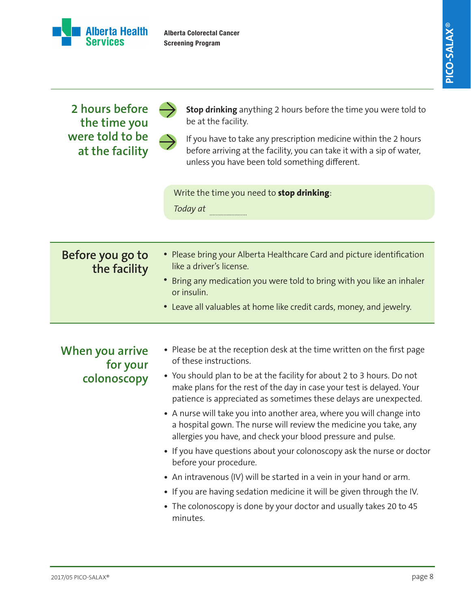

#### **2 hours before the time you were told to be at the facility** • Please bring your Alberta Healthcare Card and picture identification like a driver's license. • Bring any medication you were told to bring with you like an inhaler or insulin. Leave all valuables at home like credit cards, money, and jewelry. **• Before you go to the facility Stop drinking** anything 2 hours before the time you were told to be at the facility. If you have to take any prescription medicine within the 2 hours before arriving at the facility, you can take it with a sip of water, unless you have been told something different. Write the time you need to **stop drinking**: *Today at*  Please be at the reception desk at the time written on the first page **•** of these instructions. You should plan to be at the facility for about 2 to 3 hours. Do not **•** make plans for the rest of the day in case your test is delayed. Your patience is appreciated as sometimes these delays are unexpected. A nurse will take you into another area, where you will change into **•** a hospital gown. The nurse will review the medicine you take, any allergies you have, and check your blood pressure and pulse. • If you have questions about your colonoscopy ask the nurse or doctor before your procedure. An intravenous (IV) will be started in a vein in your hand or arm. **•** • If you are having sedation medicine it will be given through the IV. The colonoscopy is done by your doctor and usually takes 20 to 45 **•** minutes. **When you arrive for your colonoscopy**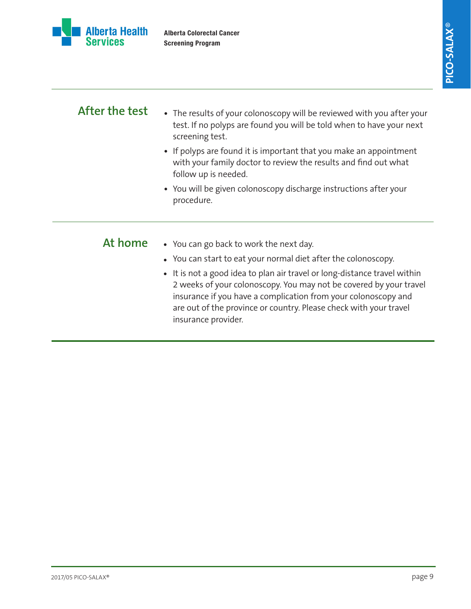



| After the test | • The results of your colonoscopy will be reviewed with you after your<br>test. If no polyps are found you will be told when to have your next<br>screening test.                                                                                                                                                                                        |  |  |  |  |
|----------------|----------------------------------------------------------------------------------------------------------------------------------------------------------------------------------------------------------------------------------------------------------------------------------------------------------------------------------------------------------|--|--|--|--|
|                | • If polyps are found it is important that you make an appointment<br>with your family doctor to review the results and find out what<br>follow up is needed.                                                                                                                                                                                            |  |  |  |  |
|                | • You will be given colonoscopy discharge instructions after your<br>procedure.                                                                                                                                                                                                                                                                          |  |  |  |  |
| At home        | • You can go back to work the next day.                                                                                                                                                                                                                                                                                                                  |  |  |  |  |
|                | • You can start to eat your normal diet after the colonoscopy.<br>• It is not a good idea to plan air travel or long-distance travel within<br>2 weeks of your colonoscopy. You may not be covered by your travel<br>insurance if you have a complication from your colonoscopy and<br>are out of the province or country. Please check with your travel |  |  |  |  |

insurance provider.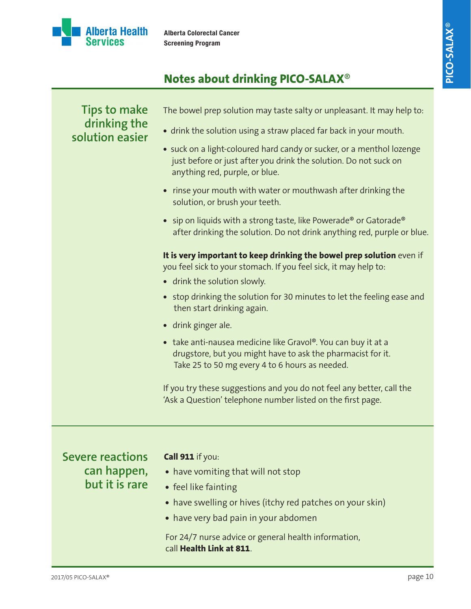

## **Notes about drinking PICO-SALAX**®

## **Tips to make drinking the solution easier** The bowel prep solution may taste salty or unpleasant. It may help to: **•** drink the solution using a straw placed far back in your mouth. **•** suck on a light-coloured hard candy or sucker, or a menthol lozenge just before or just after you drink the solution. Do not suck on anything red, purple, or blue. **•** rinse your mouth with water or mouthwash after drinking the solution, or brush your teeth. **•** sip on liquids with a strong taste, like Powerade® or Gatorade® after drinking the solution. Do not drink anything red, purple or blue. **It is very important to keep drinking the bowel prep solution** even if you feel sick to your stomach. If you feel sick, it may help to: **•** drink the solution slowly. **•** stop drinking the solution for 30 minutes to let the feeling ease and then start drinking again. **•** drink ginger ale. **•** take anti-nausea medicine like Gravol®. You can buy it at a drugstore, but you might have to ask the pharmacist for it. Take 25 to 50 mg every 4 to 6 hours as needed. If you try these suggestions and you do not feel any better, call the 'Ask a Question' telephone number listed on the first page.

**Severe reactions can happen, but it is rare**

#### **Call 911** if you:

- have vomiting that will not stop
- **•** feel like fainting
- have swelling or hives (itchy red patches on your skin)
- **•** have very bad pain in your abdomen

For 24/7 nurse advice or general health information, call **Health Link at 811**.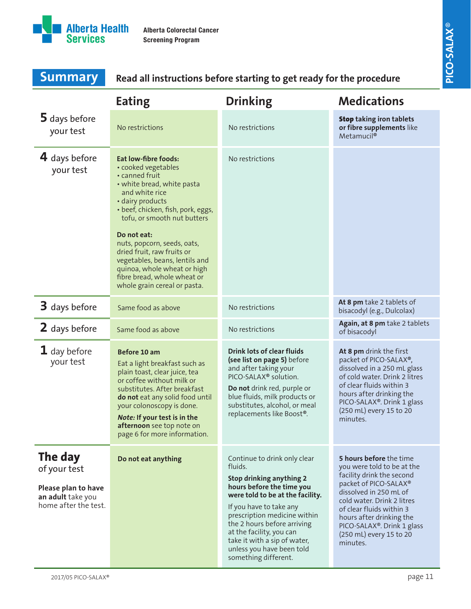

| <b>Summary</b>                                                                              | Read all instructions before starting to get ready for the procedure                                                                                                                                                                                                                                                                                                                                                      |                                                                                                                                                                                                                                                                                                                                                 |                                                                                                                                                                                                                                                                                                  |  |  |  |
|---------------------------------------------------------------------------------------------|---------------------------------------------------------------------------------------------------------------------------------------------------------------------------------------------------------------------------------------------------------------------------------------------------------------------------------------------------------------------------------------------------------------------------|-------------------------------------------------------------------------------------------------------------------------------------------------------------------------------------------------------------------------------------------------------------------------------------------------------------------------------------------------|--------------------------------------------------------------------------------------------------------------------------------------------------------------------------------------------------------------------------------------------------------------------------------------------------|--|--|--|
|                                                                                             | <b>Eating</b>                                                                                                                                                                                                                                                                                                                                                                                                             | <b>Drinking</b>                                                                                                                                                                                                                                                                                                                                 | <b>Medications</b>                                                                                                                                                                                                                                                                               |  |  |  |
| 5 days before<br>your test                                                                  | No restrictions                                                                                                                                                                                                                                                                                                                                                                                                           | No restrictions                                                                                                                                                                                                                                                                                                                                 | <b>Stop taking iron tablets</b><br>or fibre supplements like<br>Metamucil <sup>®</sup>                                                                                                                                                                                                           |  |  |  |
| 4 days before<br>your test                                                                  | <b>Eat low-fibre foods:</b><br>• cooked vegetables<br>• canned fruit<br>• white bread, white pasta<br>and white rice<br>· dairy products<br>• beef, chicken, fish, pork, eggs,<br>tofu, or smooth nut butters<br>Do not eat:<br>nuts, popcorn, seeds, oats,<br>dried fruit, raw fruits or<br>vegetables, beans, lentils and<br>quinoa, whole wheat or high<br>fibre bread, whole wheat or<br>whole grain cereal or pasta. | No restrictions                                                                                                                                                                                                                                                                                                                                 |                                                                                                                                                                                                                                                                                                  |  |  |  |
| 3 days before                                                                               | Same food as above                                                                                                                                                                                                                                                                                                                                                                                                        | No restrictions                                                                                                                                                                                                                                                                                                                                 | At 8 pm take 2 tablets of<br>bisacodyl (e.g., Dulcolax)                                                                                                                                                                                                                                          |  |  |  |
| 2 days before                                                                               | Same food as above                                                                                                                                                                                                                                                                                                                                                                                                        | No restrictions                                                                                                                                                                                                                                                                                                                                 | Again, at 8 pm take 2 tablets<br>of bisacodyl                                                                                                                                                                                                                                                    |  |  |  |
| $\mathbf 1$ day before<br>your test                                                         | Before 10 am<br>Eat a light breakfast such as<br>plain toast, clear juice, tea<br>or coffee without milk or<br>substitutes. After breakfast<br>do not eat any solid food until<br>your colonoscopy is done.<br>Note: If your test is in the<br>afternoon see top note on<br>page 6 for more information.                                                                                                                  | <b>Drink lots of clear fluids</b><br>(see list on page 5) before<br>and after taking your<br>PICO-SALAX <sup>®</sup> solution.<br>Do not drink red, purple or<br>blue fluids, milk products or<br>substitutes, alcohol, or meal<br>replacements like Boost®.                                                                                    | At 8 pm drink the first<br>packet of PICO-SALAX®,<br>dissolved in a 250 mL glass<br>of cold water. Drink 2 litres<br>of clear fluids within 3<br>hours after drinking the<br>PICO-SALAX®. Drink 1 glass<br>(250 mL) every 15 to 20<br>minutes.                                                   |  |  |  |
| The day<br>of your test<br>Please plan to have<br>an adult take you<br>home after the test. | Do not eat anything                                                                                                                                                                                                                                                                                                                                                                                                       | Continue to drink only clear<br>fluids.<br>Stop drinking anything 2<br>hours before the time you<br>were told to be at the facility.<br>If you have to take any<br>prescription medicine within<br>the 2 hours before arriving<br>at the facility, you can<br>take it with a sip of water,<br>unless you have been told<br>something different. | 5 hours before the time<br>you were told to be at the<br>facility drink the second<br>packet of PICO-SALAX®<br>dissolved in 250 mL of<br>cold water. Drink 2 litres<br>of clear fluids within 3<br>hours after drinking the<br>PICO-SALAX®. Drink 1 glass<br>(250 mL) every 15 to 20<br>minutes. |  |  |  |